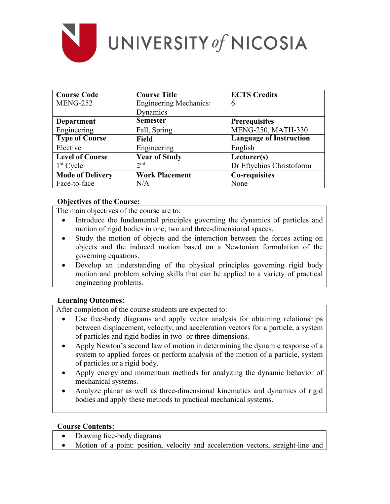

| <b>Course Code</b>      | <b>Course Title</b>           | <b>ECTS Credits</b>            |
|-------------------------|-------------------------------|--------------------------------|
| <b>MENG-252</b>         | <b>Engineering Mechanics:</b> | 6                              |
|                         | Dynamics                      |                                |
| <b>Department</b>       | <b>Semester</b>               | <b>Prerequisites</b>           |
| Engineering             | Fall, Spring                  | MENG-250, MATH-330             |
| <b>Type of Course</b>   | <b>Field</b>                  | <b>Language of Instruction</b> |
| Elective                | Engineering                   | English                        |
| <b>Level of Course</b>  | <b>Year of Study</b>          | Lecturer(s)                    |
| $1st$ Cycle             | 2 <sub>nd</sub>               | Dr Eftychios Christoforou      |
| <b>Mode of Delivery</b> | <b>Work Placement</b>         | Co-requisites                  |
| Face-to-face            | N/A                           | None                           |

## **Objectives of the Course:**

The main objectives of the course are to:

- Introduce the fundamental principles governing the dynamics of particles and motion of rigid bodies in one, two and three-dimensional spaces.
- Study the motion of objects and the interaction between the forces acting on objects and the induced motion based on a Newtonian formulation of the governing equations.
- Develop an understanding of the physical principles governing rigid body motion and problem solving skills that can be applied to a variety of practical engineering problems.

# **Learning Outcomes:**

After completion of the course students are expected to:

- Use free-body diagrams and apply vector analysis for obtaining relationships between displacement, velocity, and acceleration vectors for a particle, a system of particles and rigid bodies in two- or three-dimensions.
- Apply Newton's second law of motion in determining the dynamic response of a system to applied forces or perform analysis of the motion of a particle, system of particles or a rigid body.
- Apply energy and momentum methods for analyzing the dynamic behavior of mechanical systems.
- Analyze planar as well as three-dimensional kinematics and dynamics of rigid bodies and apply these methods to practical mechanical systems.

## **Course Contents:**

- Drawing free-body diagrams
- Motion of a point: position, velocity and acceleration vectors, straight-line and